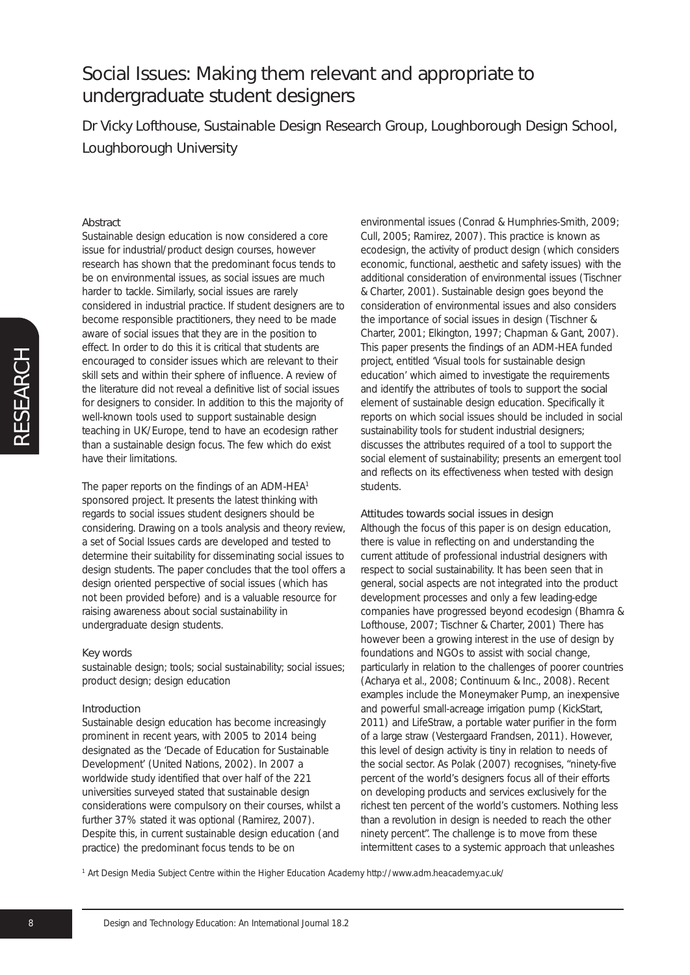Dr Vicky Lofthouse, Sustainable Design Research Group, Loughborough Design School, Loughborough University

### Abstract

Sustainable design education is now considered a core issue for industrial/product design courses, however research has shown that the predominant focus tends to be on environmental issues, as social issues are much harder to tackle. Similarly, social issues are rarely considered in industrial practice. If student designers are to become responsible practitioners, they need to be made aware of social issues that they are in the position to effect. In order to do this it is critical that students are encouraged to consider issues which are relevant to their skill sets and within their sphere of influence. A review of the literature did not reveal a definitive list of social issues for designers to consider. In addition to this the majority of well-known tools used to support sustainable design teaching in UK/Europe, tend to have an ecodesign rather than a sustainable design focus. The few which do exist have their limitations.

The paper reports on the findings of an ADM-HEA1 sponsored project. It presents the latest thinking with regards to social issues student designers should be considering. Drawing on a tools analysis and theory review, a set of Social Issues cards are developed and tested to determine their suitability for disseminating social issues to design students. The paper concludes that the tool offers a design oriented perspective of social issues (which has not been provided before) and is a valuable resource for raising awareness about social sustainability in undergraduate design students.

#### Key words

sustainable design; tools; social sustainability; social issues; product design; design education

#### Introduction

Sustainable design education has become increasingly prominent in recent years, with 2005 to 2014 being designated as the 'Decade of Education for Sustainable Development' (United Nations, 2002). In 2007 a worldwide study identified that over half of the 221 universities surveyed stated that sustainable design considerations were compulsory on their courses, whilst a further 37% stated it was optional (Ramirez, 2007). Despite this, in current sustainable design education (and practice) the predominant focus tends to be on

environmental issues (Conrad & Humphries-Smith, 2009; Cull, 2005; Ramirez, 2007). This practice is known as ecodesign, the activity of product design (which considers economic, functional, aesthetic and safety issues) with the additional consideration of environmental issues (Tischner & Charter, 2001). Sustainable design goes beyond the consideration of environmental issues and also considers the importance of social issues in design (Tischner & Charter, 2001; Elkington, 1997; Chapman & Gant, 2007). This paper presents the findings of an ADM-HEA funded project, entitled 'Visual tools for sustainable design education' which aimed to investigate the requirements and identify the attributes of tools to support the social element of sustainable design education. Specifically it reports on which social issues should be included in social sustainability tools for student industrial designers; discusses the attributes required of a tool to support the social element of sustainability; presents an emergent tool and reflects on its effectiveness when tested with design students.

#### Attitudes towards social issues in design

Although the focus of this paper is on design education, there is value in reflecting on and understanding the current attitude of professional industrial designers with respect to social sustainability. It has been seen that in general, social aspects are not integrated into the product development processes and only a few leading-edge companies have progressed beyond ecodesign (Bhamra & Lofthouse, 2007; Tischner & Charter, 2001) There has however been a growing interest in the use of design by foundations and NGOs to assist with social change, particularly in relation to the challenges of poorer countries (Acharya et al., 2008; Continuum & Inc., 2008). Recent examples include the Moneymaker Pump, an inexpensive and powerful small-acreage irrigation pump (KickStart, 2011) and LifeStraw, a portable water purifier in the form of a large straw (Vestergaard Frandsen, 2011). However, this level of design activity is tiny in relation to needs of the social sector. As Polak (2007) recognises, "ninety-five percent of the world's designers focus all of their efforts on developing products and services exclusively for the richest ten percent of the world's customers. Nothing less than a revolution in design is needed to reach the other ninety percent". The challenge is to move from these intermittent cases to a systemic approach that unleashes

*<sup>1</sup> Art Design Media Subject Centre within the Higher Education Academy http://www.adm.heacademy.ac.uk/*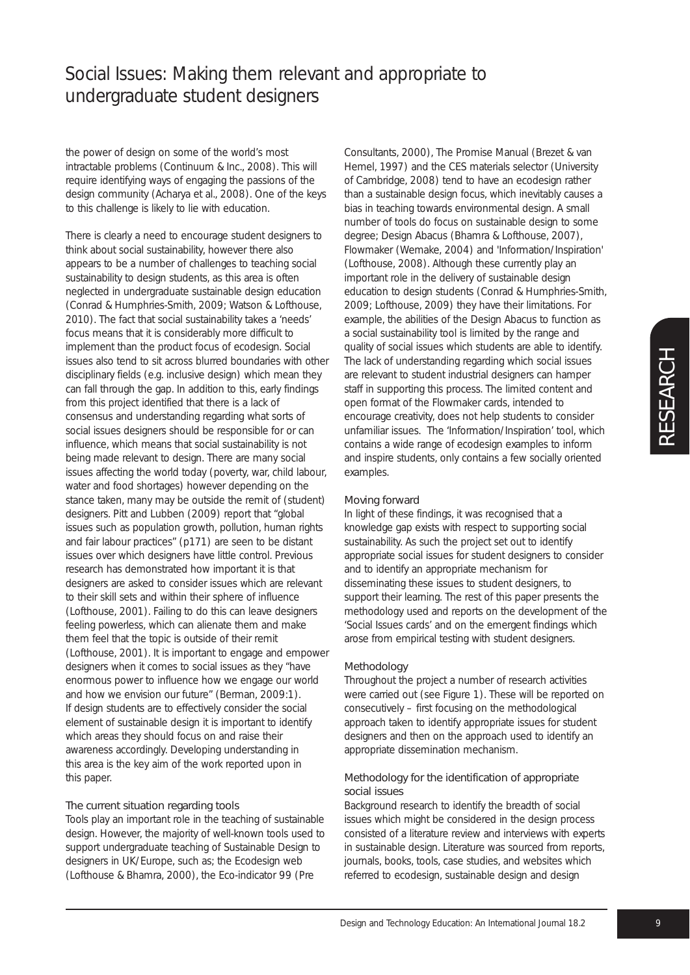the power of design on some of the world's most intractable problems (Continuum & Inc., 2008). This will require identifying ways of engaging the passions of the design community (Acharya et al., 2008). One of the keys to this challenge is likely to lie with education.

There is clearly a need to encourage student designers to think about social sustainability, however there also appears to be a number of challenges to teaching social sustainability to design students, as this area is often neglected in undergraduate sustainable design education (Conrad & Humphries-Smith, 2009; Watson & Lofthouse, 2010). The fact that social sustainability takes a 'needs' focus means that it is considerably more difficult to implement than the product focus of ecodesign. Social issues also tend to sit across blurred boundaries with other disciplinary fields (e.g. inclusive design) which mean they can fall through the gap. In addition to this, early findings from this project identified that there is a lack of consensus and understanding regarding what sorts of social issues designers should be responsible for or can influence, which means that social sustainability is not being made relevant to design. There are many social issues affecting the world today (poverty, war, child labour, water and food shortages) however depending on the stance taken, many may be outside the remit of (student) designers. Pitt and Lubben (2009) report that "global issues such as population growth, pollution, human rights and fair labour practices" (p171) are seen to be distant issues over which designers have little control. Previous research has demonstrated how important it is that designers are asked to consider issues which are relevant to their skill sets and within their sphere of influence (Lofthouse, 2001). Failing to do this can leave designers feeling powerless, which can alienate them and make them feel that the topic is outside of their remit (Lofthouse, 2001). It is important to engage and empower designers when it comes to social issues as they "have enormous power to influence how we engage our world and how we envision our future" (Berman, 2009:1). If design students are to effectively consider the social element of sustainable design it is important to identify which areas they should focus on and raise their awareness accordingly. Developing understanding in this area is the key aim of the work reported upon in this paper.

### The current situation regarding tools

Tools play an important role in the teaching of sustainable design. However, the majority of well-known tools used to support undergraduate teaching of Sustainable Design to designers in UK/Europe, such as; the Ecodesign web (Lofthouse & Bhamra, 2000), the Eco-indicator 99 (Pre

Consultants, 2000), The Promise Manual (Brezet & van Hemel, 1997) and the CES materials selector (University of Cambridge, 2008) tend to have an ecodesign rather than a sustainable design focus, which inevitably causes a bias in teaching towards environmental design. A small number of tools do focus on sustainable design to some degree; Design Abacus (Bhamra & Lofthouse, 2007), Flowmaker (Wemake, 2004) and 'Information/Inspiration' (Lofthouse, 2008). Although these currently play an important role in the delivery of sustainable design education to design students (Conrad & Humphries-Smith, 2009; Lofthouse, 2009) they have their limitations. For example, the abilities of the Design Abacus to function as a social sustainability tool is limited by the range and quality of social issues which students are able to identify. The lack of understanding regarding which social issues are relevant to student industrial designers can hamper staff in supporting this process. The limited content and open format of the Flowmaker cards, intended to encourage creativity, does not help students to consider unfamiliar issues. The 'Information/Inspiration' tool, which contains a wide range of ecodesign examples to inform and inspire students, only contains a few socially oriented examples.

### Moving forward

In light of these findings, it was recognised that a knowledge gap exists with respect to supporting social sustainability. As such the project set out to identify appropriate social issues for student designers to consider and to identify an appropriate mechanism for disseminating these issues to student designers, to support their learning. The rest of this paper presents the methodology used and reports on the development of the 'Social Issues cards' and on the emergent findings which arose from empirical testing with student designers.

### Methodology

Throughout the project a number of research activities were carried out (see Figure 1). These will be reported on consecutively – first focusing on the methodological approach taken to identify appropriate issues for student designers and then on the approach used to identify an appropriate dissemination mechanism.

### Methodology for the identification of appropriate social issues

Background research to identify the breadth of social issues which might be considered in the design process consisted of a literature review and interviews with experts in sustainable design. Literature was sourced from reports, journals, books, tools, case studies, and websites which referred to ecodesign, sustainable design and design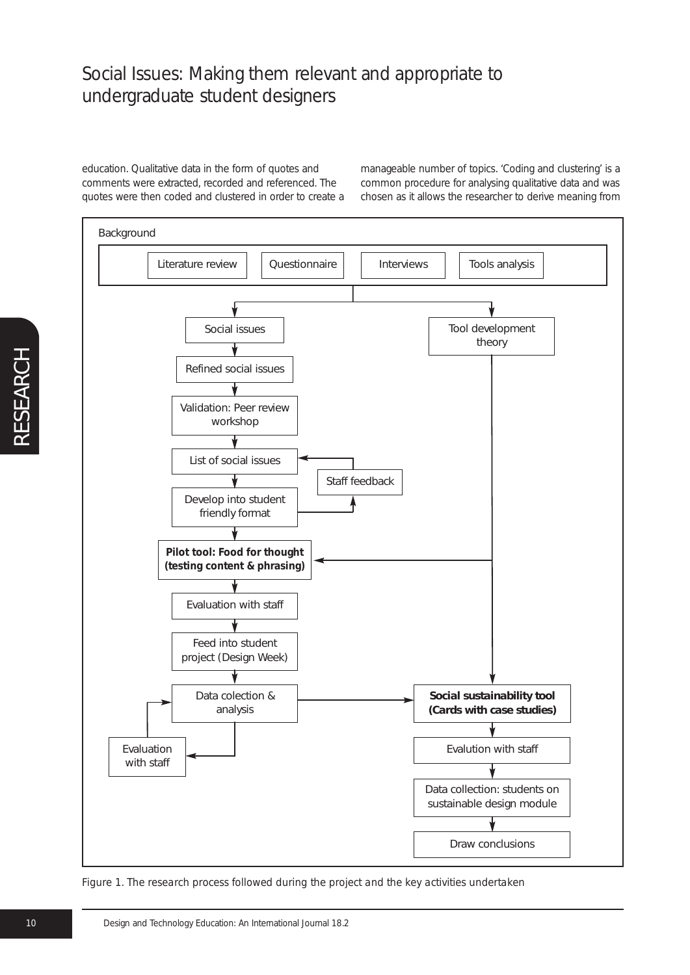education. Qualitative data in the form of quotes and comments were extracted, recorded and referenced. The quotes were then coded and clustered in order to create a manageable number of topics. 'Coding and clustering' is a common procedure for analysing qualitative data and was chosen as it allows the researcher to derive meaning from



*Figure 1. The research process followed during the project and the key activities undertaken*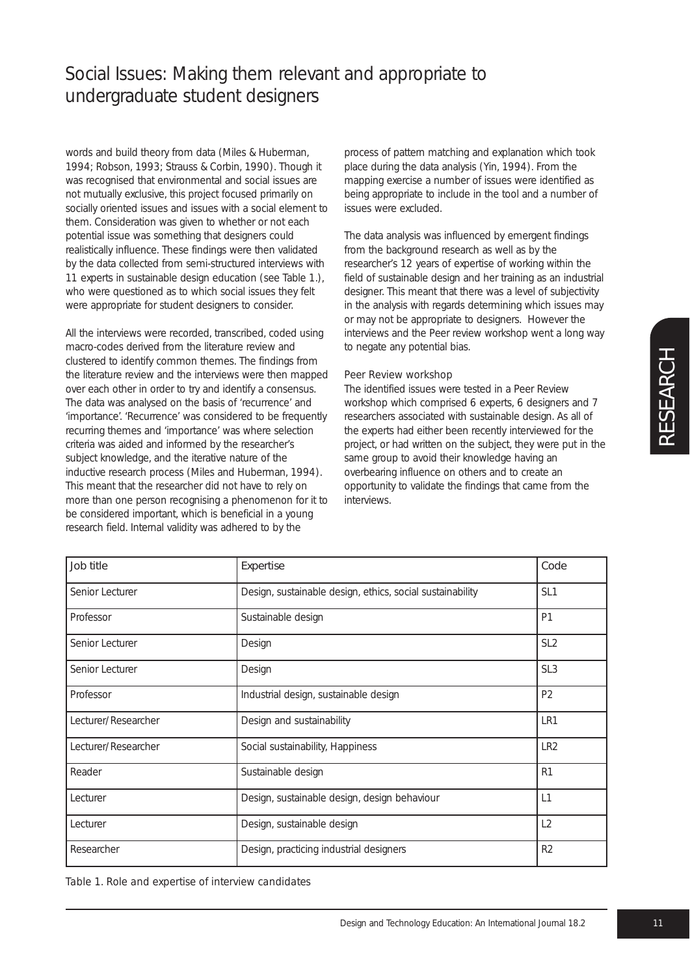words and build theory from data (Miles & Huberman, 1994; Robson, 1993; Strauss & Corbin, 1990). Though it was recognised that environmental and social issues are not mutually exclusive, this project focused primarily on socially oriented issues and issues with a social element to them. Consideration was given to whether or not each potential issue was something that designers could realistically influence. These findings were then validated by the data collected from semi-structured interviews with 11 experts in sustainable design education (see Table 1.), who were questioned as to which social issues they felt were appropriate for student designers to consider.

All the interviews were recorded, transcribed, coded using macro-codes derived from the literature review and clustered to identify common themes. The findings from the literature review and the interviews were then mapped over each other in order to try and identify a consensus. The data was analysed on the basis of 'recurrence' and 'importance'. 'Recurrence' was considered to be frequently recurring themes and 'importance' was where selection criteria was aided and informed by the researcher's subject knowledge, and the iterative nature of the inductive research process (Miles and Huberman, 1994). This meant that the researcher did not have to rely on more than one person recognising a phenomenon for it to be considered important, which is beneficial in a young research field. Internal validity was adhered to by the

process of pattern matching and explanation which took place during the data analysis (Yin, 1994). From the mapping exercise a number of issues were identified as being appropriate to include in the tool and a number of issues were excluded.

The data analysis was influenced by emergent findings from the background research as well as by the researcher's 12 years of expertise of working within the field of sustainable design and her training as an industrial designer. This meant that there was a level of subjectivity in the analysis with regards determining which issues may or may not be appropriate to designers. However the interviews and the Peer review workshop went a long way to negate any potential bias.

#### *Peer Review workshop*

The identified issues were tested in a Peer Review workshop which comprised 6 experts, 6 designers and 7 researchers associated with sustainable design. As all of the experts had either been recently interviewed for the project, or had written on the subject, they were put in the same group to avoid their knowledge having an overbearing influence on others and to create an opportunity to validate the findings that came from the interviews.

| Job title           | Expertise                                                 | Code            |
|---------------------|-----------------------------------------------------------|-----------------|
| Senior Lecturer     | Design, sustainable design, ethics, social sustainability | SL <sub>1</sub> |
| Professor           | Sustainable design                                        | P <sub>1</sub>  |
| Senior Lecturer     | Design                                                    | SL <sub>2</sub> |
| Senior Lecturer     | Design                                                    | SL <sub>3</sub> |
| Professor           | Industrial design, sustainable design                     | P <sub>2</sub>  |
| Lecturer/Researcher | Design and sustainability                                 | LR1             |
| Lecturer/Researcher | Social sustainability, Happiness                          | LR <sub>2</sub> |
| Reader              | Sustainable design                                        | R <sub>1</sub>  |
| Lecturer            | Design, sustainable design, design behaviour              | $\lfloor 1$     |
| Lecturer            | Design, sustainable design                                | L2              |
| Researcher          | Design, practicing industrial designers                   | R <sub>2</sub>  |

*Table 1. Role and expertise of interview candidates*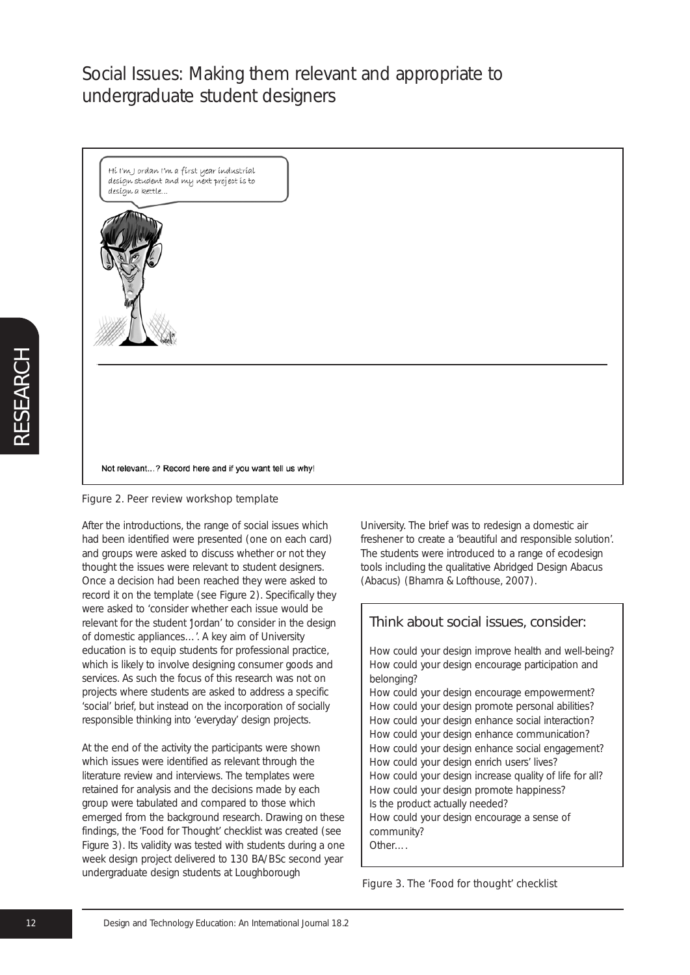Hi I'm J ordan I'm a first year industrial design student and my next project is to desígn a kettle...



Not relevant...? Record here and if you want tell us why!



After the introductions, the range of social issues which had been identified were presented (one on each card) and groups were asked to discuss whether or not they thought the issues were relevant to student designers. Once a decision had been reached they were asked to record it on the template (see Figure 2). Specifically they were asked to 'consider whether each issue would be relevant for the student 'Jordan' to consider in the design of domestic appliances...'. A key aim of University education is to equip students for professional practice, which is likely to involve designing consumer goods and services. As such the focus of this research was not on projects where students are asked to address a specific 'social' brief, but instead on the incorporation of socially responsible thinking into 'everyday' design projects.

At the end of the activity the participants were shown which issues were identified as relevant through the literature review and interviews. The templates were retained for analysis and the decisions made by each group were tabulated and compared to those which emerged from the background research. Drawing on these findings, the 'Food for Thought' checklist was created (see Figure 3). Its validity was tested with students during a one week design project delivered to 130 BA/BSc second year undergraduate design students at Loughborough

University. The brief was to redesign a domestic air freshener to create a 'beautiful and responsible solution'. The students were introduced to a range of ecodesign tools including the qualitative Abridged Design Abacus (Abacus) (Bhamra & Lofthouse, 2007).

| Think about social issues, consider:                                                                                                                                                                                                                                                                                                                                                                                                                                                                                                                                                                                                               |  |  |
|----------------------------------------------------------------------------------------------------------------------------------------------------------------------------------------------------------------------------------------------------------------------------------------------------------------------------------------------------------------------------------------------------------------------------------------------------------------------------------------------------------------------------------------------------------------------------------------------------------------------------------------------------|--|--|
| How could your design improve health and well-being?<br>How could your design encourage participation and<br>belonging?<br>How could your design encourage empowerment?<br>How could your design promote personal abilities?<br>How could your design enhance social interaction?<br>How could your design enhance communication?<br>How could your design enhance social engagement?<br>How could your design enrich users' lives?<br>How could your design increase quality of life for all?<br>How could your design promote happiness?<br>Is the product actually needed?<br>How could your design encourage a sense of<br>community?<br>Other |  |  |
|                                                                                                                                                                                                                                                                                                                                                                                                                                                                                                                                                                                                                                                    |  |  |

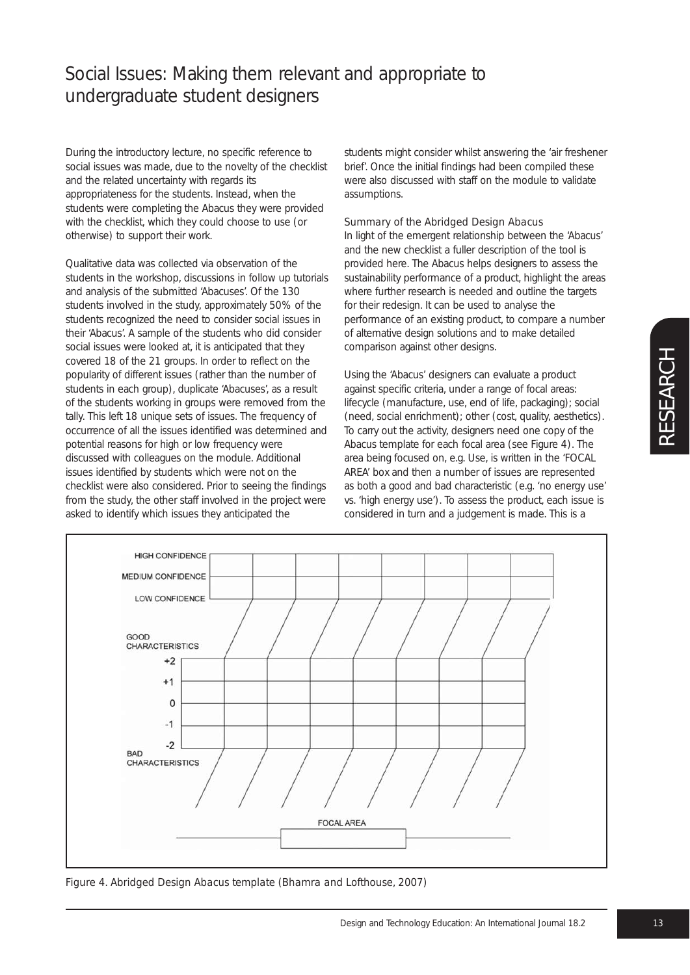During the introductory lecture, no specific reference to social issues was made, due to the novelty of the checklist and the related uncertainty with regards its appropriateness for the students. Instead, when the students were completing the Abacus they were provided with the checklist, which they could choose to use (or otherwise) to support their work.

Qualitative data was collected via observation of the students in the workshop, discussions in follow up tutorials and analysis of the submitted 'Abacuses'. Of the 130 students involved in the study, approximately 50% of the students recognized the need to consider social issues in their 'Abacus'. A sample of the students who did consider social issues were looked at, it is anticipated that they covered 18 of the 21 groups. In order to reflect on the popularity of different issues (rather than the number of students in each group), duplicate 'Abacuses', as a result of the students working in groups were removed from the tally. This left 18 unique sets of issues. The frequency of occurrence of all the issues identified was determined and potential reasons for high or low frequency were discussed with colleagues on the module. Additional issues identified by students which were not on the checklist were also considered. Prior to seeing the findings from the study, the other staff involved in the project were asked to identify which issues they anticipated the

students might consider whilst answering the 'air freshener brief'. Once the initial findings had been compiled these were also discussed with staff on the module to validate assumptions.

### *Summary of the Abridged Design Abacus*

In light of the emergent relationship between the 'Abacus' and the new checklist a fuller description of the tool is provided here. The Abacus helps designers to assess the sustainability performance of a product, highlight the areas where further research is needed and outline the targets for their redesign. It can be used to analyse the performance of an existing product, to compare a number of alternative design solutions and to make detailed comparison against other designs.

Using the 'Abacus' designers can evaluate a product against specific criteria, under a range of focal areas: lifecycle (manufacture, use, end of life, packaging); social (need, social enrichment); other (cost, quality, aesthetics). To carry out the activity, designers need one copy of the Abacus template for each focal area (see Figure 4). The area being focused on, e.g. Use, is written in the 'FOCAL AREA' box and then a number of issues are represented as both a good and bad characteristic (e.g. 'no energy use' vs. 'high energy use'). To assess the product, each issue is considered in turn and a judgement is made. This is a



*Figure 4. Abridged Design Abacus template (Bhamra and Lofthouse, 2007)*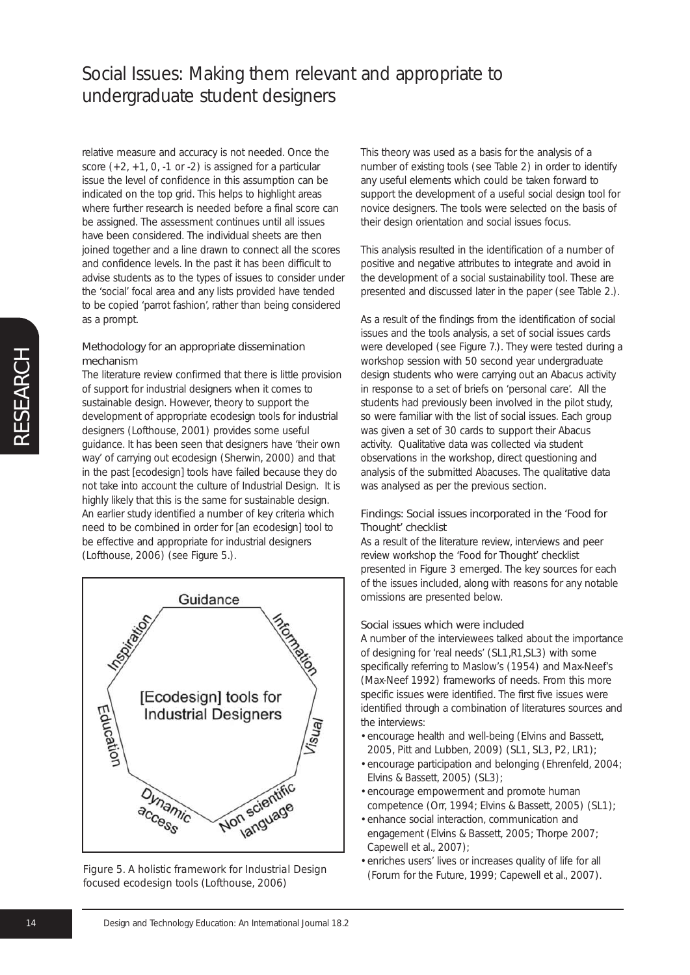relative measure and accuracy is not needed. Once the score  $(+2, +1, 0, -1$  or  $-2)$  is assigned for a particular issue the level of confidence in this assumption can be indicated on the top grid. This helps to highlight areas where further research is needed before a final score can be assigned. The assessment continues until all issues have been considered. The individual sheets are then joined together and a line drawn to connect all the scores and confidence levels. In the past it has been difficult to advise students as to the types of issues to consider under the 'social' focal area and any lists provided have tended to be copied 'parrot fashion', rather than being considered as a prompt.

### Methodology for an appropriate dissemination mechanism

The literature review confirmed that there is little provision of support for industrial designers when it comes to sustainable design. However, theory to support the development of appropriate ecodesign tools for industrial designers (Lofthouse, 2001) provides some useful guidance. It has been seen that designers have 'their own way' of carrying out ecodesign (Sherwin, 2000) and that in the past [ecodesign] tools have failed because they do not take into account the culture of Industrial Design. It is highly likely that this is the same for sustainable design. An earlier study identified a number of key criteria which need to be combined in order for [an ecodesign] tool to be effective and appropriate for industrial designers (Lofthouse, 2006) (see Figure 5.).



*Figure 5. A holistic framework for Industrial Design focused ecodesign tools (Lofthouse, 2006)*

This theory was used as a basis for the analysis of a number of existing tools (see Table 2) in order to identify any useful elements which could be taken forward to support the development of a useful social design tool for novice designers. The tools were selected on the basis of their design orientation and social issues focus.

This analysis resulted in the identification of a number of positive and negative attributes to integrate and avoid in the development of a social sustainability tool. These are presented and discussed later in the paper (see Table 2.).

As a result of the findings from the identification of social issues and the tools analysis, a set of social issues cards were developed (see Figure 7.). They were tested during a workshop session with 50 second year undergraduate design students who were carrying out an Abacus activity in response to a set of briefs on 'personal care'. All the students had previously been involved in the pilot study, so were familiar with the list of social issues. Each group was given a set of 30 cards to support their Abacus activity. Qualitative data was collected via student observations in the workshop, direct questioning and analysis of the submitted Abacuses. The qualitative data was analysed as per the previous section.

### Findings: Social issues incorporated in the 'Food for Thought' checklist

As a result of the literature review, interviews and peer review workshop the 'Food for Thought' checklist presented in Figure 3 emerged. The key sources for each of the issues included, along with reasons for any notable omissions are presented below.

#### Social issues which were included

A number of the interviewees talked about the importance of designing for 'real needs' (SL1,R1,SL3) with some specifically referring to Maslow's (1954) and Max-Neef's (Max-Neef 1992) frameworks of needs. From this more specific issues were identified. The first five issues were identified through a combination of literatures sources and the interviews:

- encourage health and well-being (Elvins and Bassett, 2005, Pitt and Lubben, 2009) (SL1, SL3, P2, LR1);
- encourage participation and belonging (Ehrenfeld, 2004; Elvins & Bassett, 2005) (SL3);
- encourage empowerment and promote human competence (Orr, 1994; Elvins & Bassett, 2005) (SL1);
- enhance social interaction, communication and engagement (Elvins & Bassett, 2005; Thorpe 2007; Capewell et al., 2007);
- enriches users' lives or increases quality of life for all (Forum for the Future, 1999; Capewell et al., 2007).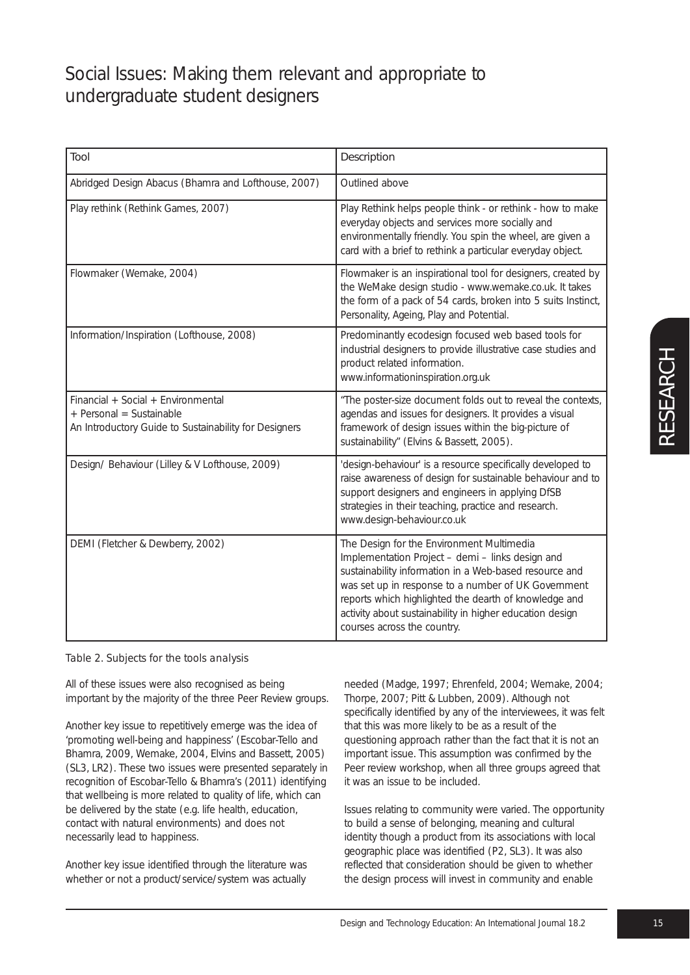| Tool                                                                                                                    | Description                                                                                                                                                                                                                                                                                                                                                        |
|-------------------------------------------------------------------------------------------------------------------------|--------------------------------------------------------------------------------------------------------------------------------------------------------------------------------------------------------------------------------------------------------------------------------------------------------------------------------------------------------------------|
| Abridged Design Abacus (Bhamra and Lofthouse, 2007)                                                                     | Outlined above                                                                                                                                                                                                                                                                                                                                                     |
| Play rethink (Rethink Games, 2007)                                                                                      | Play Rethink helps people think - or rethink - how to make<br>everyday objects and services more socially and<br>environmentally friendly. You spin the wheel, are given a<br>card with a brief to rethink a particular everyday object.                                                                                                                           |
| Flowmaker (Wemake, 2004)                                                                                                | Flowmaker is an inspirational tool for designers, created by<br>the WeMake design studio - www.wemake.co.uk. It takes<br>the form of a pack of 54 cards, broken into 5 suits Instinct,<br>Personality, Ageing, Play and Potential.                                                                                                                                 |
| Information/Inspiration (Lofthouse, 2008)                                                                               | Predominantly ecodesign focused web based tools for<br>industrial designers to provide illustrative case studies and<br>product related information.<br>www.informationinspiration.org.uk                                                                                                                                                                          |
| Financial + Social + Environmental<br>+ Personal = Sustainable<br>An Introductory Guide to Sustainability for Designers | "The poster-size document folds out to reveal the contexts,<br>agendas and issues for designers. It provides a visual<br>framework of design issues within the big-picture of<br>sustainability" (Elvins & Bassett, 2005).                                                                                                                                         |
| Design/ Behaviour (Lilley & V Lofthouse, 2009)                                                                          | 'design-behaviour' is a resource specifically developed to<br>raise awareness of design for sustainable behaviour and to<br>support designers and engineers in applying DfSB<br>strategies in their teaching, practice and research.<br>www.design-behaviour.co.uk                                                                                                 |
| DEMI (Fletcher & Dewberry, 2002)                                                                                        | The Design for the Environment Multimedia<br>Implementation Project - demi - links design and<br>sustainability information in a Web-based resource and<br>was set up in response to a number of UK Government<br>reports which highlighted the dearth of knowledge and<br>activity about sustainability in higher education design<br>courses across the country. |

### *Table 2. Subjects for the tools analysis*

All of these issues were also recognised as being important by the majority of the three Peer Review groups.

Another key issue to repetitively emerge was the idea of 'promoting well-being and happiness' (Escobar-Tello and Bhamra, 2009, Wemake, 2004, Elvins and Bassett, 2005) (SL3, LR2). These two issues were presented separately in recognition of Escobar-Tello & Bhamra's (2011) identifying that wellbeing is more related to quality of life, which can be delivered by the state (e.g. life health, education, contact with natural environments) and does not necessarily lead to happiness.

Another key issue identified through the literature was whether or not a product/service/system was actually

needed (Madge, 1997; Ehrenfeld, 2004; Wemake, 2004; Thorpe, 2007; Pitt & Lubben, 2009). Although not specifically identified by any of the interviewees, it was felt that this was more likely to be as a result of the questioning approach rather than the fact that it is not an important issue. This assumption was confirmed by the Peer review workshop, when all three groups agreed that it was an issue to be included.

Issues relating to community were varied. The opportunity to build a sense of belonging, meaning and cultural identity though a product from its associations with local geographic place was identified (P2, SL3). It was also reflected that consideration should be given to whether the design process will invest in community and enable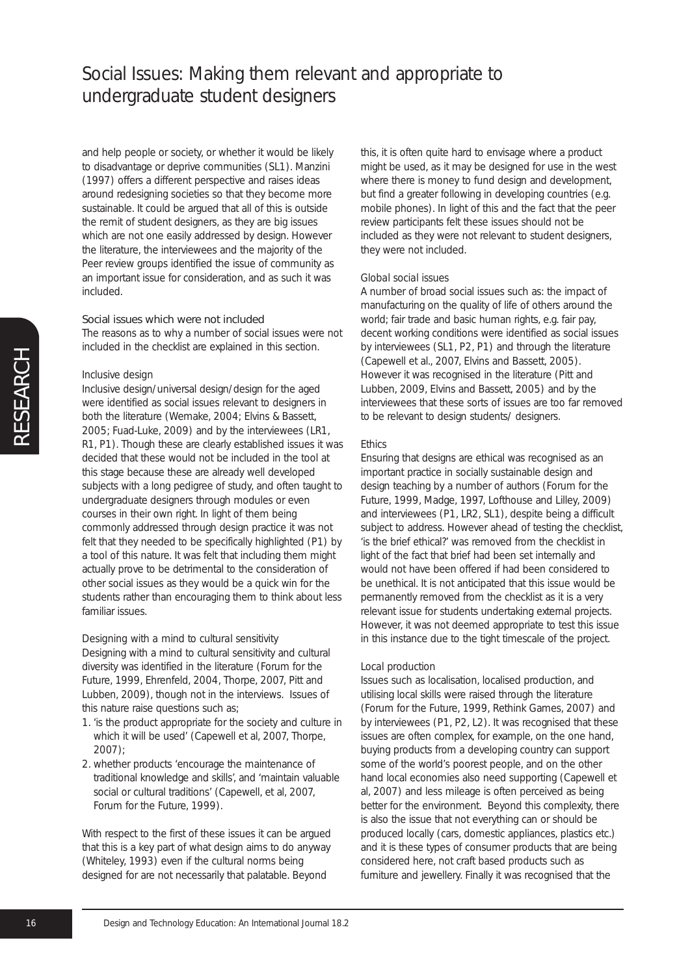and help people or society, or whether it would be likely to disadvantage or deprive communities (SL1). Manzini (1997) offers a different perspective and raises ideas around redesigning societies so that they become more sustainable. It could be argued that all of this is outside the remit of student designers, as they are big issues which are not one easily addressed by design. However the literature, the interviewees and the majority of the Peer review groups identified the issue of community as an important issue for consideration, and as such it was included.

### Social issues which were not included

The reasons as to why a number of social issues were not included in the checklist are explained in this section.

#### *Inclusive design*

Inclusive design/universal design/design for the aged were identified as social issues relevant to designers in both the literature (Wemake, 2004; Elvins & Bassett, 2005; Fuad-Luke, 2009) and by the interviewees (LR1, R1, P1). Though these are clearly established issues it was decided that these would not be included in the tool at this stage because these are already well developed subjects with a long pedigree of study, and often taught to undergraduate designers through modules or even courses in their own right. In light of them being commonly addressed through design practice it was not felt that they needed to be specifically highlighted (P1) by a tool of this nature. It was felt that including them might actually prove to be detrimental to the consideration of other social issues as they would be a quick win for the students rather than encouraging them to think about less familiar issues.

#### *Designing with a mind to cultural sensitivity*

Designing with a mind to cultural sensitivity and cultural diversity was identified in the literature (Forum for the Future, 1999, Ehrenfeld, 2004, Thorpe, 2007, Pitt and Lubben, 2009), though not in the interviews. Issues of this nature raise questions such as;

- *1.* 'is the product appropriate for the society and culture in which it will be used' (Capewell et al, 2007, Thorpe, 2007);
- *2.* whether products 'encourage the maintenance of traditional knowledge and skills', and 'maintain valuable social or cultural traditions' (Capewell, et al, 2007, Forum for the Future, 1999).

With respect to the first of these issues it can be argued that this is a key part of what design aims to do anyway (Whiteley, 1993) even if the cultural norms being designed for are not necessarily that palatable. Beyond

this, it is often quite hard to envisage where a product might be used, as it may be designed for use in the west where there is money to fund design and development, but find a greater following in developing countries (e.g. mobile phones). In light of this and the fact that the peer review participants felt these issues should not be included as they were not relevant to student designers, they were not included.

#### *Global social issues*

A number of broad social issues such as: the impact of manufacturing on the quality of life of others around the world; fair trade and basic human rights, e.g. fair pay, decent working conditions were identified as social issues by interviewees (SL1, P2, P1) and through the literature (Capewell et al., 2007, Elvins and Bassett, 2005). However it was recognised in the literature (Pitt and Lubben, 2009, Elvins and Bassett, 2005) and by the interviewees that these sorts of issues are too far removed to be relevant to design students/ designers.

#### *Ethics*

Ensuring that designs are ethical was recognised as an important practice in socially sustainable design and design teaching by a number of authors (Forum for the Future, 1999, Madge, 1997, Lofthouse and Lilley, 2009) and interviewees (P1, LR2, SL1), despite being a difficult subject to address. However ahead of testing the checklist, 'is the brief ethical?' was removed from the checklist in light of the fact that brief had been set internally and would not have been offered if had been considered to be unethical. It is not anticipated that this issue would be permanently removed from the checklist as it is a very relevant issue for students undertaking external projects. However, it was not deemed appropriate to test this issue in this instance due to the tight timescale of the project.

#### *Local production*

Issues such as localisation, localised production, and utilising local skills were raised through the literature (Forum for the Future, 1999, Rethink Games, 2007) and by interviewees (P1, P2, L2). It was recognised that these issues are often complex, for example, on the one hand, buying products from a developing country can support some of the world's poorest people, and on the other hand local economies also need supporting (Capewell et al, 2007) and less mileage is often perceived as being better for the environment. Beyond this complexity, there is also the issue that not everything can or should be produced locally (cars, domestic appliances, plastics etc.) and it is these types of consumer products that are being considered here, not craft based products such as furniture and jewellery. Finally it was recognised that the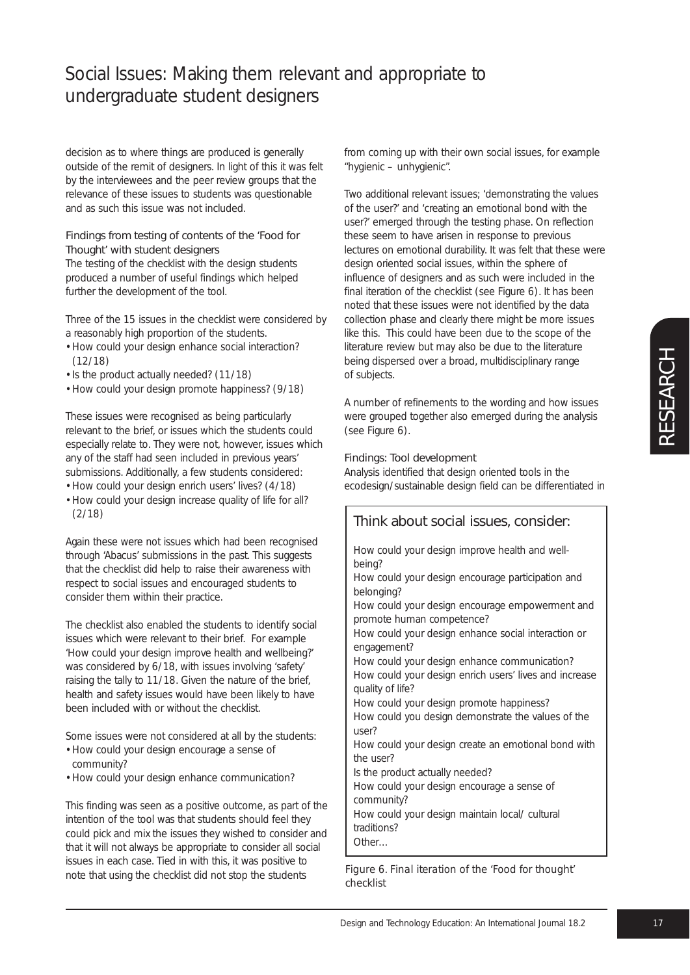decision as to where things are produced is generally outside of the remit of designers. In light of this it was felt by the interviewees and the peer review groups that the relevance of these issues to students was questionable and as such this issue was not included.

### Findings from testing of contents of the 'Food for Thought' with student designers

The testing of the checklist with the design students produced a number of useful findings which helped further the development of the tool.

Three of the 15 issues in the checklist were considered by a reasonably high proportion of the students.

- How could your design enhance social interaction? (12/18)
- Is the product actually needed? (11/18)
- How could your design promote happiness? (9/18)

These issues were recognised as being particularly relevant to the brief, or issues which the students could especially relate to. They were not, however, issues which any of the staff had seen included in previous years' submissions. Additionally, a few students considered:

- How could your design enrich users' lives? (4/18)
- How could your design increase quality of life for all? (2/18)

Again these were not issues which had been recognised through 'Abacus' submissions in the past. This suggests that the checklist did help to raise their awareness with respect to social issues and encouraged students to consider them within their practice.

The checklist also enabled the students to identify social issues which were relevant to their brief. For example 'How could your design improve health and wellbeing?' was considered by 6/18, with issues involving 'safety' raising the tally to 11/18. Given the nature of the brief, health and safety issues would have been likely to have been included with or without the checklist.

Some issues were not considered at all by the students:

- How could your design encourage a sense of community?
- How could your design enhance communication?

This finding was seen as a positive outcome, as part of the intention of the tool was that students should feel they could pick and mix the issues they wished to consider and that it will not always be appropriate to consider all social issues in each case. Tied in with this, it was positive to note that using the checklist did not stop the students

from coming up with their own social issues, for example "hygienic – unhygienic".

Two additional relevant issues; 'demonstrating the values of the user?' and 'creating an emotional bond with the user?' emerged through the testing phase. On reflection these seem to have arisen in response to previous lectures on emotional durability. It was felt that these were design oriented social issues, within the sphere of influence of designers and as such were included in the final iteration of the checklist (see Figure 6). It has been noted that these issues were not identified by the data collection phase and clearly there might be more issues like this. This could have been due to the scope of the literature review but may also be due to the literature being dispersed over a broad, multidisciplinary range of subjects.

A number of refinements to the wording and how issues were grouped together also emerged during the analysis (see Figure 6).

### Findings: Tool development

Analysis identified that design oriented tools in the ecodesign/sustainable design field can be differentiated in

| Think about social issues, consider:                                                                                       |  |  |
|----------------------------------------------------------------------------------------------------------------------------|--|--|
| How could your design improve health and well-<br>being?                                                                   |  |  |
| How could your design encourage participation and<br>belonging?                                                            |  |  |
| How could your design encourage empowerment and<br>promote human competence?                                               |  |  |
| How could your design enhance social interaction or<br>engagement?                                                         |  |  |
| How could your design enhance communication?<br>How could your design enrich users' lives and increase<br>quality of life? |  |  |
| How could your design promote happiness?<br>How could you design demonstrate the values of the                             |  |  |
| user?<br>How could your design create an emotional bond with                                                               |  |  |
| the user?<br>Is the product actually needed?                                                                               |  |  |
| How could your design encourage a sense of<br>community?                                                                   |  |  |
| How could your design maintain local/ cultural<br>traditions?                                                              |  |  |
| Other                                                                                                                      |  |  |

*Figure 6. Final iteration of the 'Food for thought' checklist*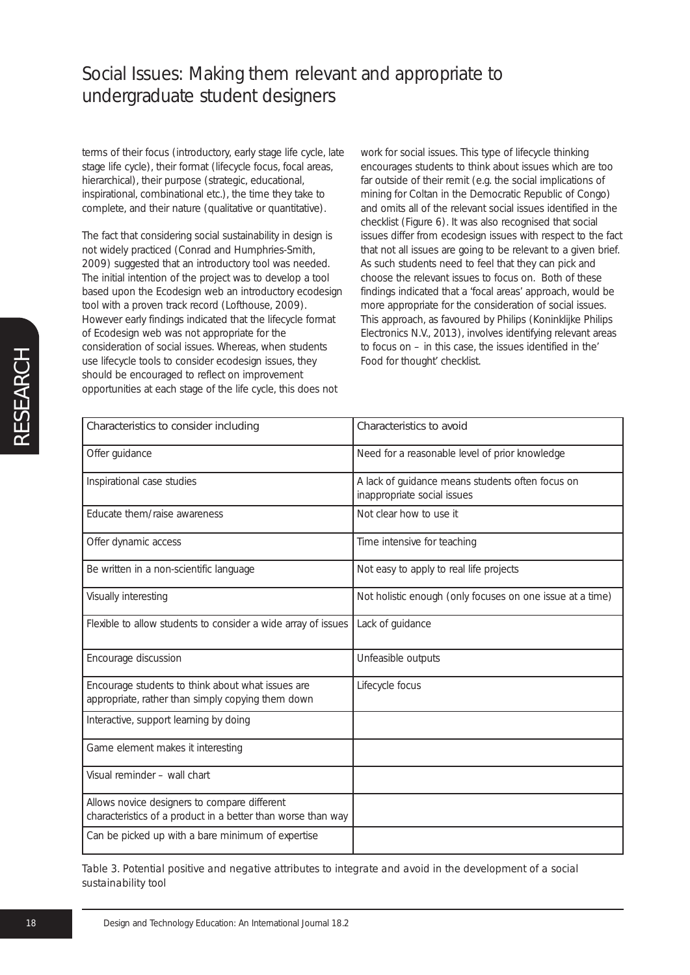terms of their focus (introductory, early stage life cycle, late stage life cycle), their format (lifecycle focus, focal areas, hierarchical), their purpose (strategic, educational, inspirational, combinational etc.), the time they take to complete, and their nature (qualitative or quantitative).

The fact that considering social sustainability in design is not widely practiced (Conrad and Humphries-Smith, 2009) suggested that an introductory tool was needed. The initial intention of the project was to develop a tool based upon the Ecodesign web an introductory ecodesign tool with a proven track record (Lofthouse, 2009). However early findings indicated that the lifecycle format of Ecodesign web was not appropriate for the consideration of social issues. Whereas, when students use lifecycle tools to consider ecodesign issues, they should be encouraged to reflect on improvement opportunities at each stage of the life cycle, this does not

work for social issues. This type of lifecycle thinking encourages students to think about issues which are too far outside of their remit (e.g. the social implications of mining for Coltan in the Democratic Republic of Congo) and omits all of the relevant social issues identified in the checklist (Figure 6). It was also recognised that social issues differ from ecodesign issues with respect to the fact that not all issues are going to be relevant to a given brief. As such students need to feel that they can pick and choose the relevant issues to focus on. Both of these findings indicated that a 'focal areas' approach, would be more appropriate for the consideration of social issues. This approach, as favoured by Philips (Koninklijke Philips Electronics N.V., 2013), involves identifying relevant areas to focus on – in this case, the issues identified in the' Food for thought' checklist.

| Characteristics to consider including                                                                        | Characteristics to avoid                                                        |
|--------------------------------------------------------------------------------------------------------------|---------------------------------------------------------------------------------|
|                                                                                                              |                                                                                 |
| Offer guidance                                                                                               | Need for a reasonable level of prior knowledge                                  |
| Inspirational case studies                                                                                   | A lack of guidance means students often focus on<br>inappropriate social issues |
| Educate them/raise awareness                                                                                 | Not clear how to use it                                                         |
| Offer dynamic access                                                                                         | Time intensive for teaching                                                     |
| Be written in a non-scientific language                                                                      | Not easy to apply to real life projects                                         |
| Visually interesting                                                                                         | Not holistic enough (only focuses on one issue at a time)                       |
| Flexible to allow students to consider a wide array of issues                                                | Lack of guidance                                                                |
| Encourage discussion                                                                                         | Unfeasible outputs                                                              |
| Encourage students to think about what issues are<br>appropriate, rather than simply copying them down       | Lifecycle focus                                                                 |
| Interactive, support learning by doing                                                                       |                                                                                 |
| Game element makes it interesting                                                                            |                                                                                 |
| Visual reminder - wall chart                                                                                 |                                                                                 |
| Allows novice designers to compare different<br>characteristics of a product in a better than worse than way |                                                                                 |
| Can be picked up with a bare minimum of expertise                                                            |                                                                                 |

*Table 3. Potential positive and negative attributes to integrate and avoid in the development of a social sustainability tool*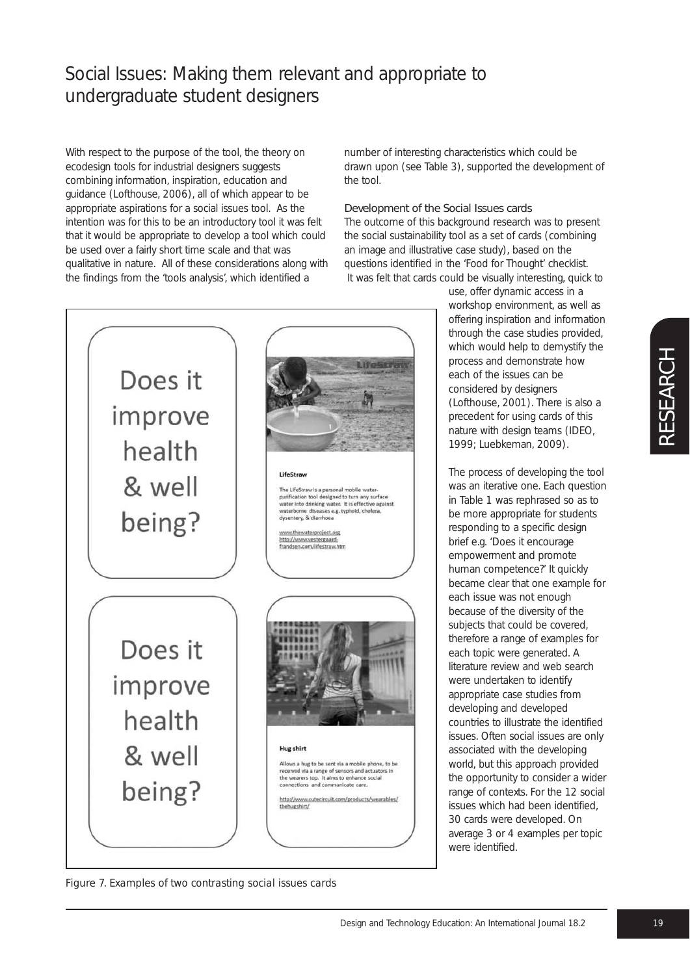With respect to the purpose of the tool, the theory on ecodesign tools for industrial designers suggests combining information, inspiration, education and guidance (Lofthouse, 2006), all of which appear to be appropriate aspirations for a social issues tool. As the intention was for this to be an introductory tool it was felt that it would be appropriate to develop a tool which could be used over a fairly short time scale and that was qualitative in nature. All of these considerations along with the findings from the 'tools analysis', which identified a

number of interesting characteristics which could be drawn upon (see Table 3), supported the development of the tool.

#### Development of the Social Issues cards

The outcome of this background research was to present the social sustainability tool as a set of cards (combining an image and illustrative case study), based on the questions identified in the 'Food for Thought' checklist. It was felt that cards could be visually interesting, quick to



*Figure 7. Examples of two contrasting social issues cards*

use, offer dynamic access in a workshop environment, as well as offering inspiration and information through the case studies provided, which would help to demystify the process and demonstrate how each of the issues can be considered by designers (Lofthouse, 2001). There is also a precedent for using cards of this nature with design teams (IDEO, 1999; Luebkeman, 2009).

The process of developing the tool was an iterative one. Each question in Table 1 was rephrased so as to be more appropriate for students responding to a specific design brief e.g. 'Does it encourage empowerment and promote human competence?' It quickly became clear that one example for each issue was not enough because of the diversity of the subjects that could be covered, therefore a range of examples for each topic were generated. A literature review and web search were undertaken to identify appropriate case studies from developing and developed countries to illustrate the identified issues. Often social issues are only associated with the developing world, but this approach provided the opportunity to consider a wider range of contexts. For the 12 social issues which had been identified, 30 cards were developed. On average 3 or 4 examples per topic were identified.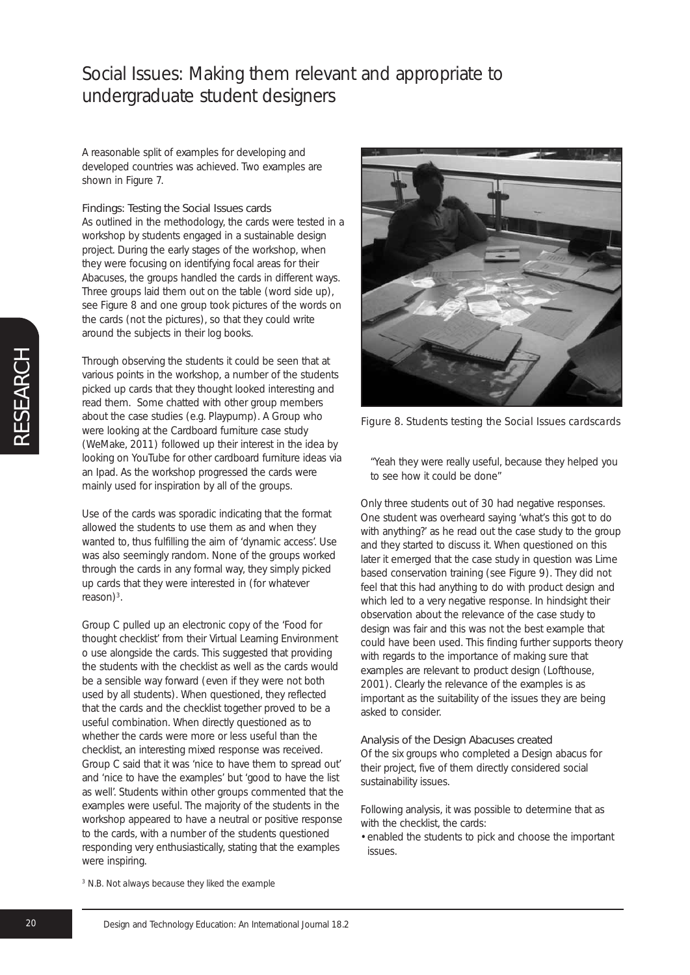A reasonable split of examples for developing and developed countries was achieved. Two examples are shown in Figure 7.

#### Findings: Testing the Social Issues cards

As outlined in the methodology, the cards were tested in a workshop by students engaged in a sustainable design project. During the early stages of the workshop, when they were focusing on identifying focal areas for their Abacuses, the groups handled the cards in different ways. Three groups laid them out on the table (word side up), see Figure 8 and one group took pictures of the words on the cards (not the pictures), so that they could write around the subjects in their log books.

Through observing the students it could be seen that at various points in the workshop, a number of the students picked up cards that they thought looked interesting and read them. Some chatted with other group members about the case studies (e.g. Playpump). A Group who were looking at the Cardboard furniture case study (WeMake, 2011) followed up their interest in the idea by looking on YouTube for other cardboard furniture ideas via an Ipad. As the workshop progressed the cards were mainly used for inspiration by all of the groups.

Use of the cards was sporadic indicating that the format allowed the students to use them as and when they wanted to, thus fulfilling the aim of 'dynamic access'. Use was also seemingly random. None of the groups worked through the cards in any formal way, they simply picked up cards that they were interested in (for whatever reason $)^3$ .

Group C pulled up an electronic copy of the 'Food for thought checklist' from their Virtual Learning Environment o use alongside the cards. This suggested that providing the students with the checklist as well as the cards would be a sensible way forward (even if they were not both used by all students). When questioned, they reflected that the cards and the checklist together proved to be a useful combination. When directly questioned as to whether the cards were more or less useful than the checklist, an interesting mixed response was received. Group C said that it was 'nice to have them to spread out' and 'nice to have the examples' but 'good to have the list as well'. Students within other groups commented that the examples were useful. The majority of the students in the workshop appeared to have a neutral or positive response to the cards, with a number of the students questioned responding very enthusiastically, stating that the examples were inspiring.



*Figure 8. Students testing the Social Issues cardscards*

"Yeah they were really useful, because they helped you to see how it could be done"

Only three students out of 30 had negative responses. One student was overheard saying 'what's this got to do with anything?' as he read out the case study to the group and they started to discuss it. When questioned on this later it emerged that the case study in question was Lime based conservation training (see Figure 9). They did not feel that this had anything to do with product design and which led to a very negative response. In hindsight their observation about the relevance of the case study to design was fair and this was not the best example that could have been used. This finding further supports theory with regards to the importance of making sure that examples are relevant to product design (Lofthouse, 2001). Clearly the relevance of the examples is as important as the suitability of the issues they are being asked to consider.

#### Analysis of the Design Abacuses created

Of the six groups who completed a Design abacus for their project, five of them directly considered social sustainability issues.

Following analysis, it was possible to determine that as with the checklist, the cards:

• enabled the students to pick and choose the important issues.

*<sup>3</sup> N.B. Not always because they liked the example*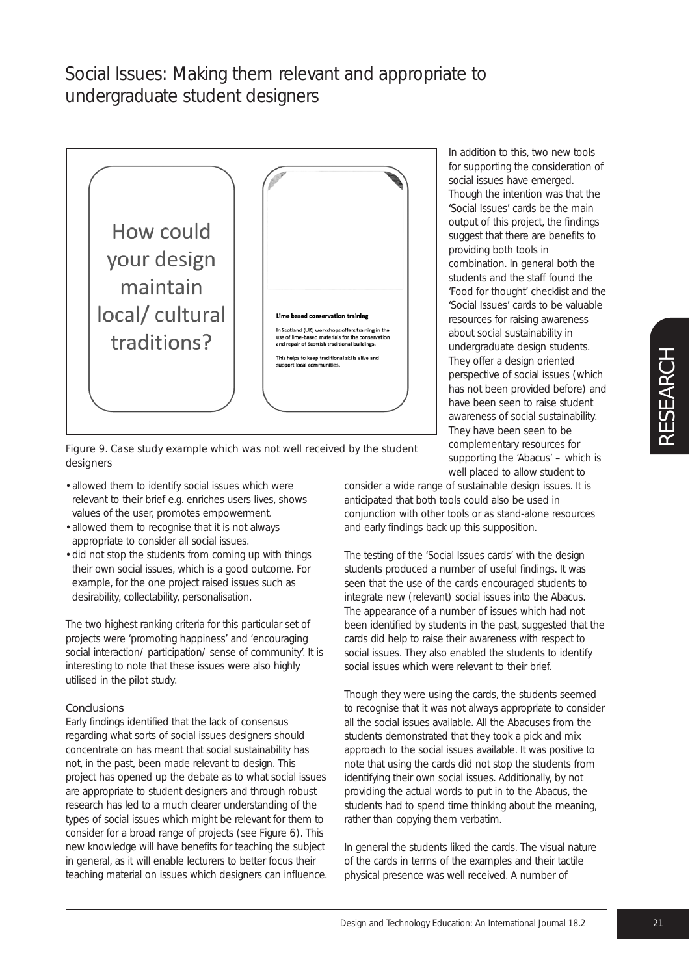

In addition to this, two new tools for supporting the consideration of social issues have emerged. Though the intention was that the 'Social Issues' cards be the main output of this project, the findings suggest that there are benefits to providing both tools in combination. In general both the students and the staff found the 'Food for thought' checklist and the 'Social Issues' cards to be valuable resources for raising awareness about social sustainability in undergraduate design students. They offer a design oriented perspective of social issues (which has not been provided before) and have been seen to raise student awareness of social sustainability. They have been seen to be complementary resources for supporting the 'Abacus' – which is well placed to allow student to

*Figure 9. Case study example which was not well received by the student designers*

- allowed them to identify social issues which were relevant to their brief e.g. enriches users lives, shows values of the user, promotes empowerment.
- allowed them to recognise that it is not always appropriate to consider all social issues.
- did not stop the students from coming up with things their own social issues, which is a good outcome. For example, for the one project raised issues such as desirability, collectability, personalisation.

The two highest ranking criteria for this particular set of projects were 'promoting happiness' and 'encouraging social interaction/ participation/ sense of community'. It is interesting to note that these issues were also highly utilised in the pilot study.

### Conclusions

Early findings identified that the lack of consensus regarding what sorts of social issues designers should concentrate on has meant that social sustainability has not, in the past, been made relevant to design. This project has opened up the debate as to what social issues are appropriate to student designers and through robust research has led to a much clearer understanding of the types of social issues which might be relevant for them to consider for a broad range of projects (see Figure 6). This new knowledge will have benefits for teaching the subject in general, as it will enable lecturers to better focus their teaching material on issues which designers can influence. consider a wide range of sustainable design issues. It is anticipated that both tools could also be used in conjunction with other tools or as stand-alone resources and early findings back up this supposition.

The testing of the 'Social Issues cards' with the design students produced a number of useful findings. It was seen that the use of the cards encouraged students to integrate new (relevant) social issues into the Abacus. The appearance of a number of issues which had not been identified by students in the past, suggested that the cards did help to raise their awareness with respect to social issues. They also enabled the students to identify social issues which were relevant to their brief.

Though they were using the cards, the students seemed to recognise that it was not always appropriate to consider all the social issues available. All the Abacuses from the students demonstrated that they took a pick and mix approach to the social issues available. It was positive to note that using the cards did not stop the students from identifying their own social issues. Additionally, by not providing the actual words to put in to the Abacus, the students had to spend time thinking about the meaning, rather than copying them verbatim.

In general the students liked the cards. The visual nature of the cards in terms of the examples and their tactile physical presence was well received. A number of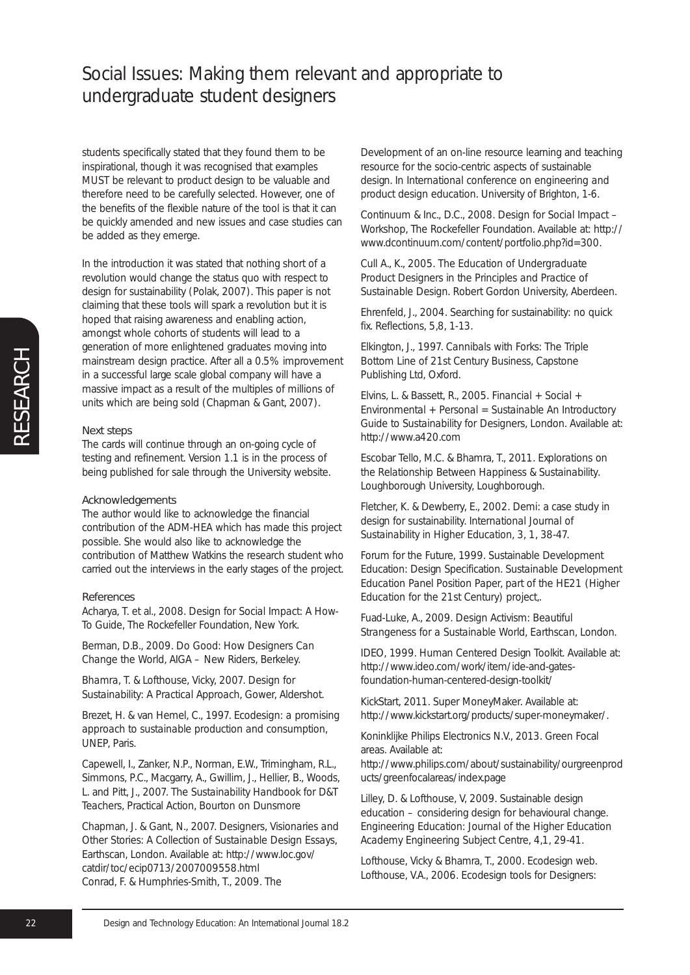students specifically stated that they found them to be inspirational, though it was recognised that examples MUST be relevant to product design to be valuable and therefore need to be carefully selected. However, one of the benefits of the flexible nature of the tool is that it can be quickly amended and new issues and case studies can be added as they emerge.

In the introduction it was stated that nothing short of a revolution would change the status quo with respect to design for sustainability (Polak, 2007). This paper is not claiming that these tools will spark a revolution but it is hoped that raising awareness and enabling action, amongst whole cohorts of students will lead to a generation of more enlightened graduates moving into mainstream design practice. After all a 0.5% improvement in a successful large scale global company will have a massive impact as a result of the multiples of millions of units which are being sold (Chapman & Gant, 2007).

#### Next steps

The cards will continue through an on-going cycle of testing and refinement. Version 1.1 is in the process of being published for sale through the University website.

#### Acknowledgements

The author would like to acknowledge the financial contribution of the ADM-HEA which has made this project possible. She would also like to acknowledge the contribution of Matthew Watkins the research student who carried out the interviews in the early stages of the project.

#### References

Acharya, T. et al., 2008. *Design for Social Impact: A How-To Guide*, The Rockefeller Foundation, New York.

Berman, D.B., 2009. *Do Good: How Designers Can Change the World*, AIGA – New Riders, Berkeley.

*Bhamra, T. & Lofthouse, Vicky, 2007. Design for Sustainability: A Practical Approach*, Gower, Aldershot.

Brezet, H. & van Hemel, C., 1997. *Ecodesign: a promising approach to sustainable production and consumption*, UNEP, Paris.

Capewell, I., Zanker, N.P., Norman, E.W., Trimingham, R.L., Simmons, P.C., Macgarry, A., Gwillim, J., Hellier, B., Woods, L. and Pitt, J., 2007. *The Sustainability Handbook for D&T Teachers*, Practical Action, Bourton on Dunsmore

Chapman, J. & Gant, N., 2007. *Designers, Visionaries and Other Stories: A Collection of Sustainable Design Essays,* Earthscan, London. Available at: http://www.loc.gov/ catdir/toc/ecip0713/2007009558.html Conrad, F. & Humphries-Smith, T., 2009. The

Development of an on-line resource learning and teaching resource for the socio-centric aspects of sustainable design. In *International conference on engineering and product design education.* University of Brighton, 1-6.

Continuum & Inc., D.C., 2008. *Design for Social Impact – Workshop*, The Rockefeller Foundation. Available at: http:// www.dcontinuum.com/content/portfolio.php?id=300.

Cull A., K., 2005. *The Education of Undergraduate Product Designers in the Principles and Practice of Sustainable Design*. Robert Gordon University, Aberdeen.

Ehrenfeld, J., 2004. Searching for sustainability: no quick fix. *Reflections*, 5,8, 1-13.

Elkington, J., 1997. *Cannibals with Forks: The Triple Bottom Line of 21st Century Business*, Capstone Publishing Ltd, Oxford.

Elvins, L. & Bassett, R., 2005. *Financial + Social + Environmental + Personal = Sustainable An Introductory Guide to Sustainability for Designers*, London. Available at: http://www.a420.com

Escobar Tello, M.C. & Bhamra, T., 2011. *Explorations on the Relationship Between Happiness & Sustainability*. Loughborough University, Loughborough.

Fletcher, K. & Dewberry, E., 2002. Demi: a case study in design for sustainability. *International Journal of Sustainability in Higher Education*, 3, 1, 38-47.

Forum for the Future, 1999. Sustainable Development Education: Design Specification. *Sustainable Development Education Panel Position Paper, part of the HE21 (Higher Education for the 21st Century) project,.*

Fuad-Luke, A., 2009. *Design Activism: Beautiful Strangeness for a Sustainable World, Earthscan*, London.

IDEO, 1999. Human Centered Design Toolkit. Available at: http://www.ideo.com/work/item/ide-and-gatesfoundation-human-centered-design-toolkit/

KickStart, 2011. Super MoneyMaker. Available at: http://www.kickstart.org/products/super-moneymaker/.

Koninklijke Philips Electronics N.V., 2013. Green Focal areas. Available at:

http://www.philips.com/about/sustainability/ourgreenprod ucts/greenfocalareas/index.page

Lilley, D. & Lofthouse, V, 2009. Sustainable design education – considering design for behavioural change. *Engineering Education: Journal of the Higher Education Academy Engineering Subject Centre*, 4,1, 29-41.

Lofthouse, Vicky & Bhamra, T., 2000. Ecodesign web. Lofthouse, V.A., 2006. Ecodesign tools for Designers: